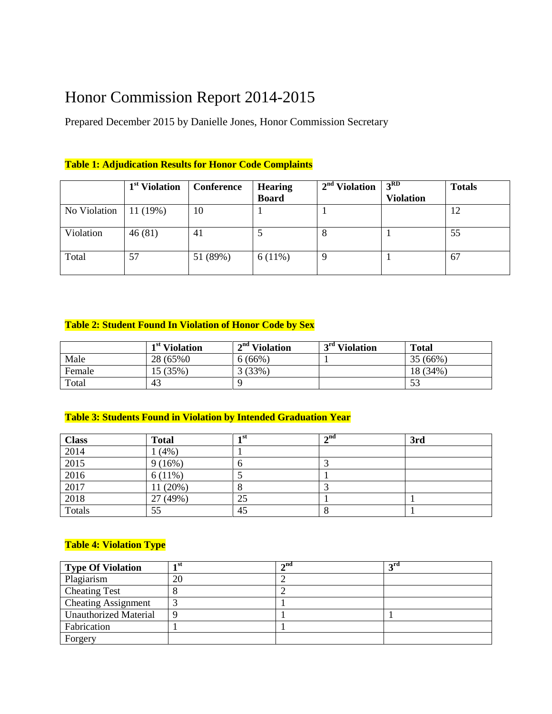# Honor Commission Report 2014-2015

Prepared December 2015 by Danielle Jones, Honor Commission Secretary

#### **Table 1: Adjudication Results for Honor Code Complaints**

|              | 1 <sup>st</sup> Violation | <b>Conference</b> | <b>Hearing</b> | 2 <sup>nd</sup> Violation | 3 <sup>RD</sup>  | <b>Totals</b> |
|--------------|---------------------------|-------------------|----------------|---------------------------|------------------|---------------|
|              |                           |                   | <b>Board</b>   |                           | <b>Violation</b> |               |
| No Violation | 11(19%)                   | 10                |                |                           |                  | 12            |
| Violation    | 46(81)                    | 41                |                | 8                         |                  | 55            |
| Total        | 57                        | 51 (89%)          | $6(11\%)$      |                           |                  | 67            |

#### **Table 2: Student Found In Violation of Honor Code by Sex**

|        | 1 <sup>st</sup> Violation | $2nd$ Violation | 3 <sup>rd</sup> Violation | <b>Total</b> |
|--------|---------------------------|-----------------|---------------------------|--------------|
| Male   | 28 (65%)                  | $6(66\%)$       |                           | 35(66%)      |
| Female | 15(35%)                   | 3(33%)          |                           | 18 (34%)     |
| Total  | 43                        |                 |                           |              |

#### **Table 3: Students Found in Violation by Intended Graduation Year**

| <b>Class</b> | <b>Total</b> | 1 st | $\boldsymbol{\gamma}$ nd | 3rd |
|--------------|--------------|------|--------------------------|-----|
| 2014         | 1(4%)        |      |                          |     |
| 2015         | 9(16%)       | v    |                          |     |
| 2016         | 6(11%)       |      |                          |     |
| 2017         | 11 (20%)     |      |                          |     |
| 2018         | 27 (49%)     | 25   |                          |     |
| Totals       | 55           | 45   | $\circ$                  |     |

#### **Table 4: Violation Type**

| <b>Type Of Violation</b>     | ⊣st | $\lambda$ nd | 2rd |
|------------------------------|-----|--------------|-----|
| Plagiarism                   | 20  |              |     |
| <b>Cheating Test</b>         |     |              |     |
| <b>Cheating Assignment</b>   |     |              |     |
| <b>Unauthorized Material</b> |     |              |     |
| Fabrication                  |     |              |     |
| Forgery                      |     |              |     |